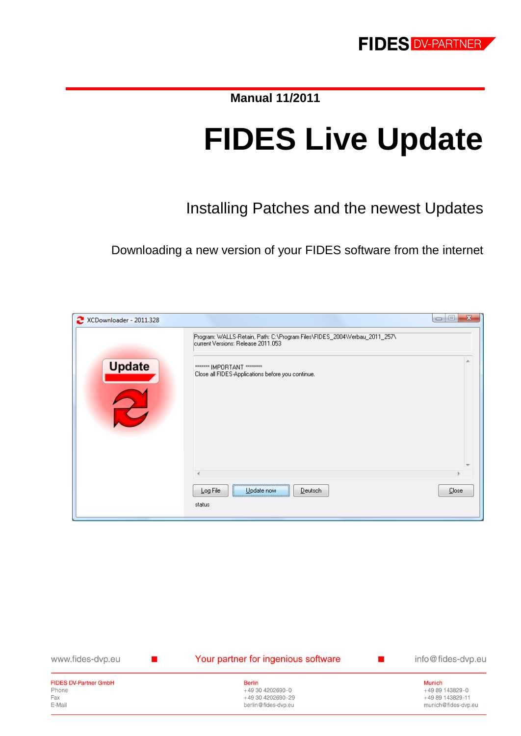**Manual 11/2011**

# **FIDES Live Update**

Installing Patches and the newest Updates

Downloading a new version of your FIDES software from the internet

| XCDownloader - 2011.328 |                                                                                                                 | $\mathbf{x}$<br>$=$<br>$\Box$ |
|-------------------------|-----------------------------------------------------------------------------------------------------------------|-------------------------------|
|                         | Program: WALLS-Retain, Path: C:\Program Files\FIDES_2004\Verbau_2011_257\<br>current Versions: Release 2011.053 |                               |
| <b>Update</b>           | ******* IMPORTANT ********<br>Close all FIDES-Applications before you continue.                                 |                               |
|                         |                                                                                                                 |                               |
|                         |                                                                                                                 |                               |
|                         |                                                                                                                 |                               |
|                         | Log File<br>Deutsch<br>Update now                                                                               | <b>Close</b>                  |
|                         | status                                                                                                          |                               |

| www.fides-dvp.eu             | Your partner for ingenious software | info@fides-dvp.eu   |
|------------------------------|-------------------------------------|---------------------|
| <b>FIDES DV-Partner GmbH</b> | <b>Berlin</b>                       | Munich              |
| Phone                        | +49 30 4202690-0                    | +49 89 143829-0     |
| Fax                          | +49 30 4202690-29                   | +49 89 143829-11    |
| E-Mail                       | berlin@fides-dvp.eu                 | munich@fides-dvp.eu |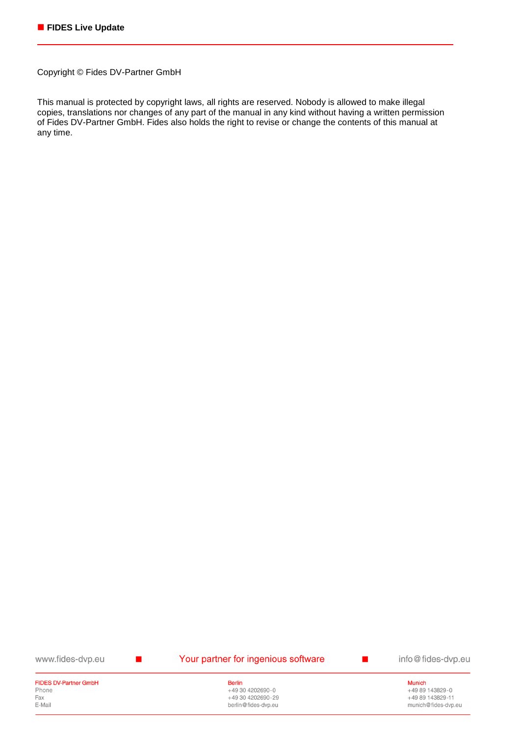Copyright © Fides DV-Partner GmbH

This manual is protected by copyright laws, all rights are reserved. Nobody is allowed to make illegal copies, translations nor changes of any part of the manual in any kind without having a written permission of Fides DV-Partner GmbH. Fides also holds the right to revise or change the contents of this manual at any time.

www.fides-dvp.eu

 $\mathbf{r}$ 

#### Your partner for ingenious software

info@fides-dvp.eu

п

#### **FIDES DV-Partner GmbH** Phone Fax E-Mail

**Berlin** +49 30 4202690-0 +49 30 4202690-29 berlin@fides-dvp.eu

**Munich** +49 89 143829-0 +49 89 143829-11 munich@fides-dvp.eu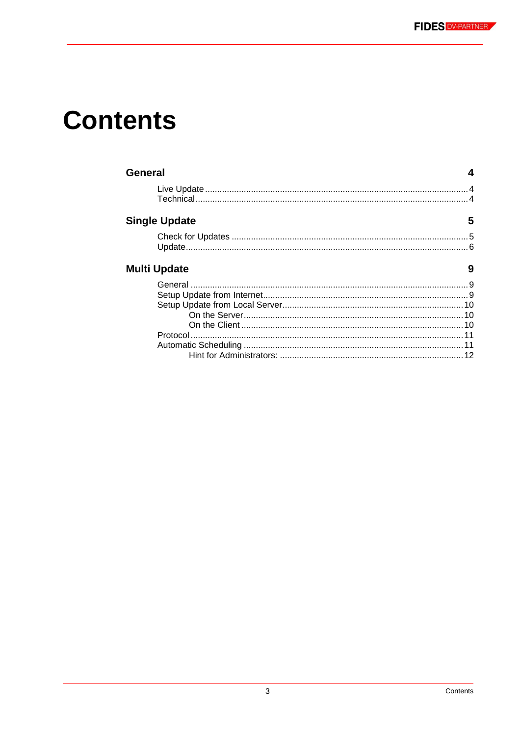## **Contents**

| General              |    |
|----------------------|----|
|                      |    |
| <b>Single Update</b> | 5  |
|                      |    |
| <b>Multi Update</b>  | 9  |
|                      | 12 |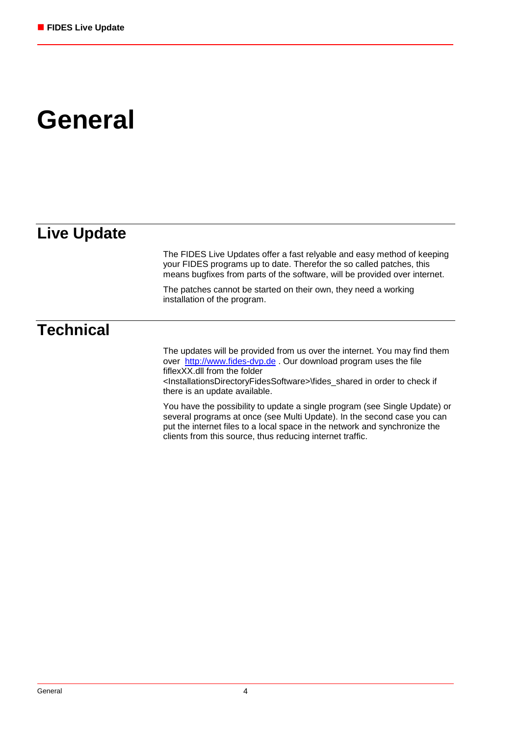## **General**

### **Live Update**

The FIDES Live Updates offer a fast relyable and easy method of keeping your FIDES programs up to date. Therefor the so called patches, this means bugfixes from parts of the software, will be provided over internet.

The patches cannot be started on their own, they need a working installation of the program.

### **Technical**

The updates will be provided from us over the internet. You may find them over [http://www.fides-dvp.de](http://www.fides-dvp.de/) . Our download program uses the file fiflexXX.dll from the folder <InstallationsDirectoryFidesSoftware>\fides\_shared in order to check if there is an update available.

You have the possibility to update a single program (see [Single Update\)](#page-4-0) or several programs at once (see [Multi Update\)](#page-8-0). In the second case you can put the internet files to a local space in the network and synchronize the clients from this source, thus reducing internet traffic.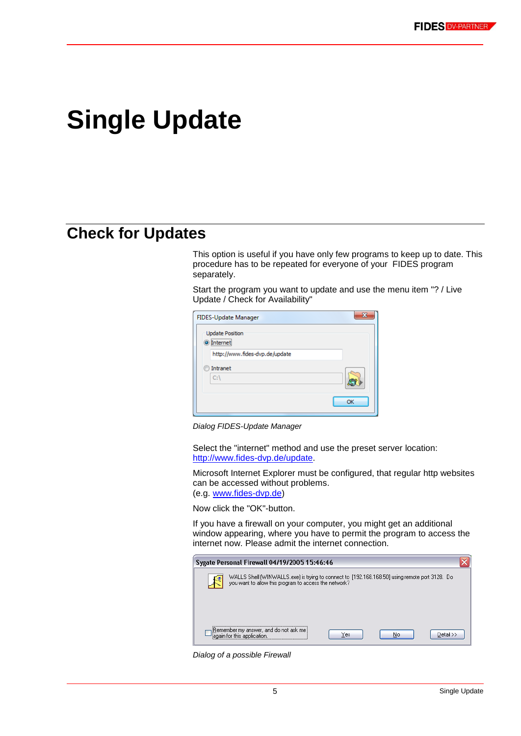## <span id="page-4-0"></span>**Single Update**

### **Check for Updates**

This option is useful if you have only few programs to keep up to date. This procedure has to be repeated for everyone of your FIDES program separately.

Start the program you want to update and use the menu item "? / Live Update / Check for Availability"

| <b>FIDES-Update Manager</b>                |    |
|--------------------------------------------|----|
| <b>Update Position</b><br>$\odot$ Internet |    |
| http://www.fides-dvp.de/update             |    |
| Intranet<br>C:                             |    |
|                                            | OK |

*Dialog FIDES-Update Manager*

Select the "internet" method and use the preset server location: [http://www.fides-dvp.de/update.](http://www.fides-dvp.de/update)

Microsoft Internet Explorer must be configured, that regular http websites can be accessed without problems. (e.g. [www.fides-dvp.de\)](http://www.fides-dvp.de/)

Now click the "OK"-button.

If you have a firewall on your computer, you might get an additional window appearing, where you have to permit the program to access the internet now. Please admit the internet connection.

| Sygate Personal Firewall 04/19/2005 15:46:46                                                                                                            |     |    |              |
|---------------------------------------------------------------------------------------------------------------------------------------------------------|-----|----|--------------|
| WALLS Shell (WINWALLS.exe) is trying to connect to [192.168.168.50] using remote port 3128. Do<br>you want to allow this program to access the network? |     |    |              |
|                                                                                                                                                         |     |    |              |
| [Remember my answer, and do not ask me<br>again for this application.                                                                                   | Yes | No | $Detail \gg$ |

*Dialog of a possible Firewall*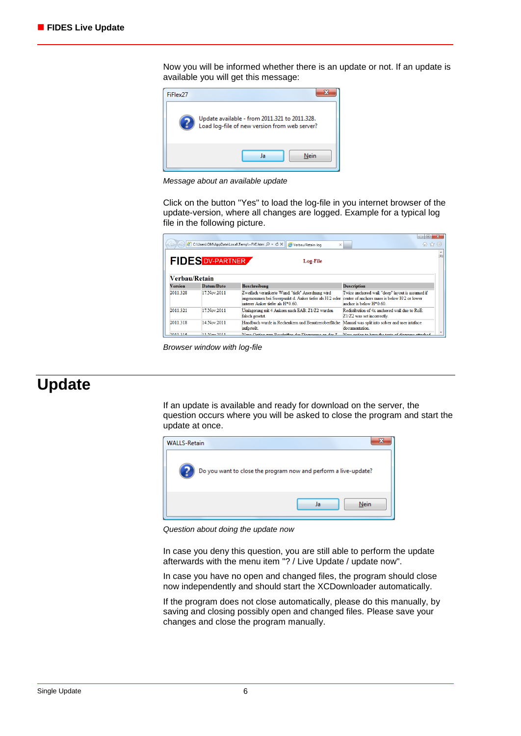Now you will be informed whether there is an update or not. If an update is available you will get this message:



*Message about an available update*

Click on the button "Yes" to load the log-file in you internet browser of the update-version, where all changes are logged. Example for a typical log file in the following picture.

|                |                         | C:\Users\OM\AppData\Local\Temp\~FVE.html $\Box \neq C \times   $ Verbau/Retain-loq<br>$\times$                                                 | $\Box$<br>价 ☆ 懲                                                                                                              |
|----------------|-------------------------|------------------------------------------------------------------------------------------------------------------------------------------------|------------------------------------------------------------------------------------------------------------------------------|
|                | <b>FIDES DV-PARTNER</b> | Log-File                                                                                                                                       |                                                                                                                              |
| Verbau/Retain  |                         |                                                                                                                                                |                                                                                                                              |
| <b>Version</b> | Datum/Date              | <b>Beschreibung</b>                                                                                                                            | <b>Description</b>                                                                                                           |
| 2011.328       | 17. Nov. 2011           | Zweifach verankerte Wand: "tiefe" Anordnung wird<br>angenommen bei Swerpunkt d. Anker tiefer als H/2 oder<br>unterer Anker tiefer als $H*0.60$ | Twice anchored wall: "deep" lavout is assumed if<br>center of anchors mass is below H/2 or lower<br>anchor is below $H*0.60$ |
| 2011 321       | 17 Nov 2011             | Umlagerung mit 4 Ankern nach EAB: Z1/Z2 wurden<br>falsch gesetzt.                                                                              | Redistibution of 4x anchored wall due to RoE:<br>Z1/Z2 was set incorrectly.                                                  |
| 2011.318       | 14. Nov. 2011           | Handbuch wurde in Rechenkern und Benutzeroberfläche<br>aufgeteilt.                                                                             | Manual was split into solver and user intaface<br>documentation.                                                             |
| 2011/215       | 11 May 2011             | Nous Ontion num Despluißen der Diegrenung an der 7                                                                                             | Now action to home the toute of discourse attached                                                                           |

*Browser window with log-file*

### **Update**

If an update is available and ready for download on the server, the question occurs where you will be asked to close the program and start the update at once.



*Question about doing the update now*

In case you deny this question, you are still able to perform the update afterwards with the menu item "? / Live Update / update now".

In case you have no open and changed files, the program should close now independently and should start the XCDownloader automatically.

If the program does not close automatically, please do this manually, by saving and closing possibly open and changed files. Please save your changes and close the program manually.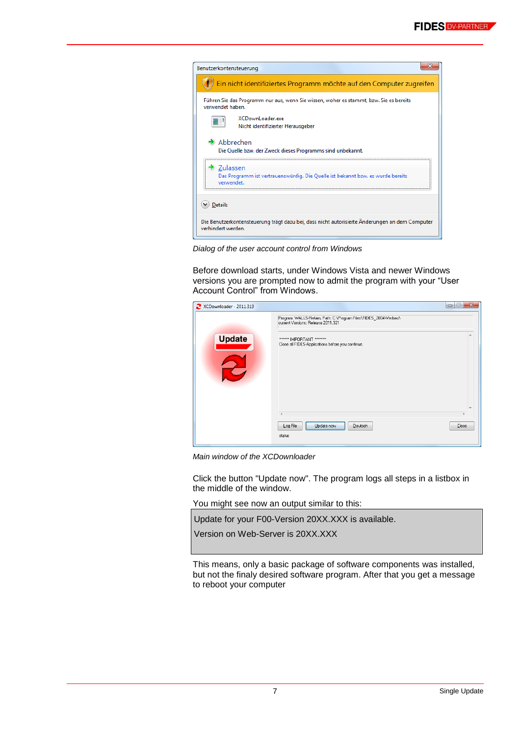| Benutzerkontensteuerung                                                                                                 |  |
|-------------------------------------------------------------------------------------------------------------------------|--|
| Ein nicht identifiziertes Programm möchte auf den Computer zugreifen                                                    |  |
| Führen Sie das Programm nur aus, wenn Sie wissen, woher es stammt, bzw. Sie es bereits<br>verwendet haben.              |  |
| <b>XCDownLoader.exe</b><br>Nicht identifizierter Herausgeber                                                            |  |
| $\rightarrow$ Abbrechen<br>Die Quelle bzw. der Zweck dieses Programms sind unbekannt.                                   |  |
| $\rightarrow$ Zulassen<br>Das Programm ist vertrauenswürdig. Die Quelle ist bekannt bzw. es wurde bereits<br>verwendet. |  |
| <b>Details</b>                                                                                                          |  |
| Die Benutzerkontensteuerung trägt dazu bei, dass nicht autorisierte Anderungen an dem Computer<br>verhindert werden.    |  |

*Dialog of the user account control from Windows*

Before download starts, under Windows Vista and newer Windows versions you are prompted now to admit the program with your "User Account Control" from Windows.

| XCDownloader - 2011.319 |                                                                                                        | ×<br>$\Box$<br>$\Box$ |
|-------------------------|--------------------------------------------------------------------------------------------------------|-----------------------|
|                         | Program: WALLS-Retain, Path: C:\Program Files\FIDES_2004\Verbau\<br>current Versions: Release 2011.321 |                       |
| <b>Update</b>           | <b>SOURCES IMPORTANT SERVICES</b><br>Close all FIDES-Applications before you continue.                 |                       |
|                         |                                                                                                        |                       |
|                         |                                                                                                        |                       |
|                         |                                                                                                        |                       |
|                         | Log File<br>Update now<br>Deutsch                                                                      | Close                 |
|                         | status                                                                                                 |                       |

*Main window of the XCDownloader*

Click the button "Update now". The program logs all steps in a listbox in the middle of the window.

You might see now an output similar to this:

Update for your F00-Version 20XX.XXX is available.

Version on Web-Server is 20XX.XXX

This means, only a basic package of software components was installed, but not the finaly desired software program. After that you get a message to reboot your computer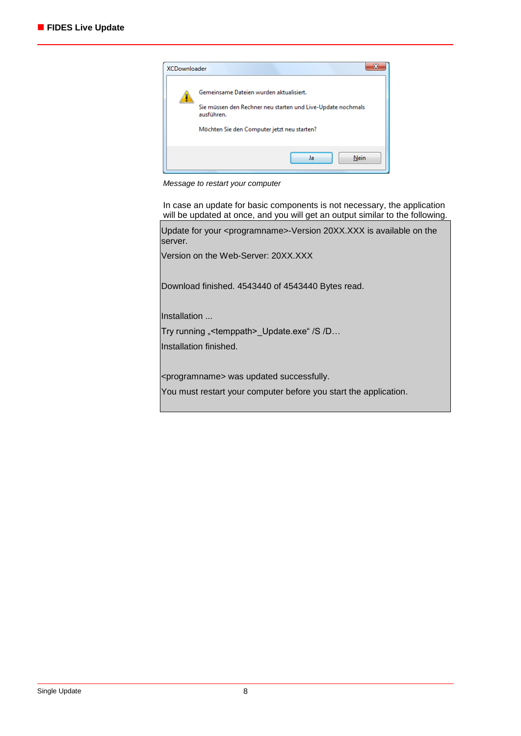

*Message to restart your computer*

In case an update for basic components is not necessary, the application will be updated at once, and you will get an output similar to the following.

Update for your <programname>-Version 20XX.XXX is available on the server.

Version on the Web-Server: 20XX.XXX

Download finished. 4543440 of 4543440 Bytes read.

Installation ...

Try running "<temppath>\_Update.exe" /S /D...

Installation finished.

<programname> was updated successfully.

You must restart your computer before you start the application.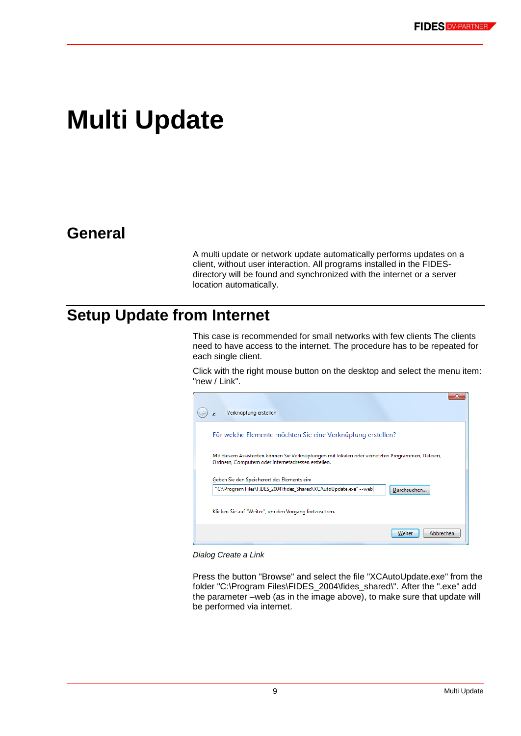## <span id="page-8-0"></span>**Multi Update**

### **General**

A multi update or network update automatically performs updates on a client, without user interaction. All programs installed in the FIDESdirectory will be found and synchronized with the internet or a server location automatically.

### <span id="page-8-1"></span>**Setup Update from Internet**

This case is recommended for small networks with few clients The clients need to have access to the internet. The procedure has to be repeated for each single client.

Click with the right mouse button on the desktop and select the menu item: "new / Link".



*Dialog Create a Link*

Press the button "Browse" and select the file "XCAutoUpdate.exe" from the folder "C:\Program Files\FIDES\_2004\fides\_shared\". After the ".exe" add the parameter –web (as in the image above), to make sure that update will be performed via internet.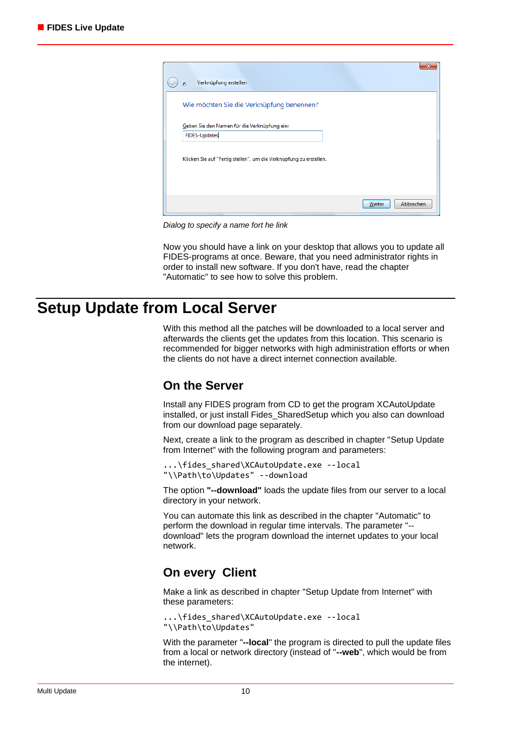| Verknüpfung erstellen<br>리                                         |                     |
|--------------------------------------------------------------------|---------------------|
| Wie möchten Sie die Verknüpfung benennen?                          |                     |
| Geben Sie den Namen für die Verknüpfung ein:                       |                     |
| <b>FIDES-Updates</b>                                               |                     |
| Klicken Sie auf "Fertig stellen", um die Verknüpfung zu erstellen. |                     |
|                                                                    | Abbrechen<br>Weiter |

*Dialog to specify a name fort he link*

Now you should have a link on your desktop that allows you to update all FIDES-programs at once. Beware, that you need administrator rights in order to install new software. If you don't have, read the chapter ["Automatic"](#page-10-0) to see how to solve this problem.

### **Setup Update from Local Server**

With this method all the patches will be downloaded to a local server and afterwards the clients get the updates from this location. This scenario is recommended for bigger networks with high administration efforts or when the clients do not have a direct internet connection available.

#### **On the Server**

Install any FIDES program from CD to get the program XCAutoUpdate installed, or just install Fides\_SharedSetup which you also can download from our download page separately.

Next, create a link to the program as described in chapter ["Setup Update](#page-8-1)  [from Internet"](#page-8-1) with the following program and parameters:

```
...\fides_shared\XCAutoUpdate.exe --local 
"\\Path\to\Updates" --download
```
The option **"--download"** loads the update files from our server to a local directory in your network.

You can automate this link as described in the chapter ["Automatic"](#page-10-0) to perform the download in regular time intervals. The parameter "- download" lets the program download the internet updates to your local network.

#### **On every Client**

Make a link as described in chapter ["Setup Update from Internet"](#page-8-1) with these parameters:

```
...\fides_shared\XCAutoUpdate.exe --local 
"\\Path\to\Updates"
```
With the parameter "**--local**" the program is directed to pull the update files from a local or network directory (instead of "**--web**", which would be from the internet).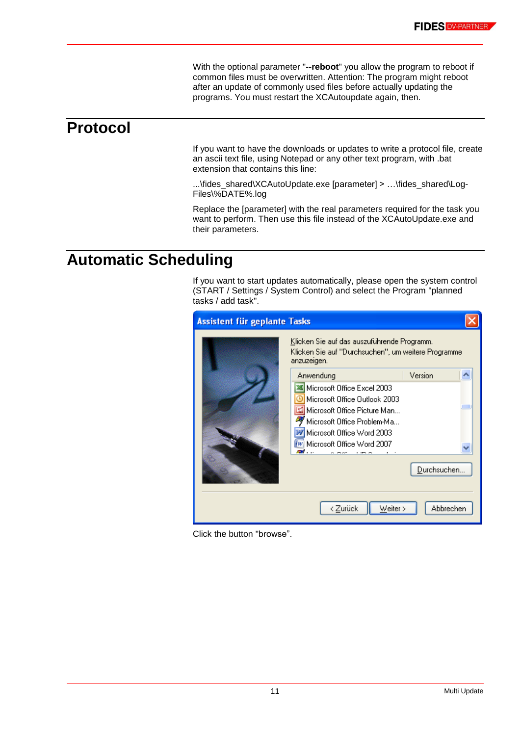With the optional parameter "**--reboot**" you allow the program to reboot if common files must be overwritten. Attention: The program might reboot after an update of commonly used files before actually updating the programs. You must restart the XCAutoupdate again, then.

### **Protocol**

If you want to have the downloads or updates to write a protocol file, create an ascii text file, using Notepad or any other text program, with .bat extension that contains this line:

...\fides\_shared\XCAutoUpdate.exe [parameter] > …\fides\_shared\Log-Files\%DATE%.log

Replace the [parameter] with the real parameters required for the task you want to perform. Then use this file instead of the XCAutoUpdate.exe and their parameters.

### <span id="page-10-0"></span>**Automatic Scheduling**

If you want to start updates automatically, please open the system control (START / Settings / System Control) and select the Program "planned tasks / add task".

| <b>Assistent für geplante Tasks</b> |                                                                                                                                                                                                                     |             |  |
|-------------------------------------|---------------------------------------------------------------------------------------------------------------------------------------------------------------------------------------------------------------------|-------------|--|
|                                     | Klicken Sie auf das auszuführende Programm.<br>Klicken Sie auf "Durchsuchen", um weitere Programme.<br>anzuzeigen.                                                                                                  |             |  |
|                                     | Anwendung                                                                                                                                                                                                           | Version     |  |
|                                     | 36 Microsoft Office Excel 2003<br>Microsoft Office Outlook 2003<br>Microsoft Office Picture Man<br>Microsoft Office Problem-Ma<br><b>W</b> Microsoft Office Word 2003<br>W Microsoft Office Word 2007<br><u>т</u> . | Durchsuchen |  |
|                                     |                                                                                                                                                                                                                     |             |  |
|                                     |                                                                                                                                                                                                                     |             |  |
|                                     | < Zurück<br>Weiter >                                                                                                                                                                                                | Abbrechen   |  |

Click the button "browse".